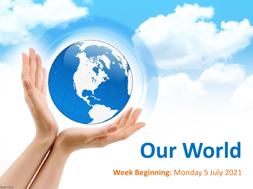# **Our World**

**Week Beginning:** Monday 5 July 2021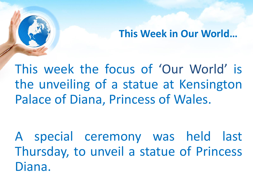**This Week in Our World…**

This week the focus of 'Our World' is the unveiling of a statue at Kensington Palace of Diana, Princess of Wales.

A special ceremony was held last Thursday, to unveil a statue of Princess Diana.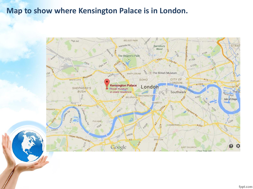#### **Map to show where Kensington Palace is in London.**

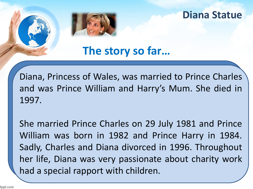**The story so far…**

Diana, Princess of Wales, was married to Prince Charles and was Prince William and Harry's Mum. She died in 1997.

She married Prince Charles on 29 July 1981 and Prince William was born in 1982 and Prince Harry in 1984. Sadly, Charles and Diana divorced in 1996. Throughout her life, Diana was very passionate about charity work had a special rapport with children.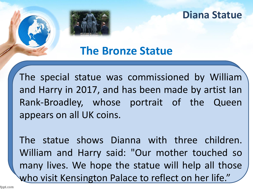**The Bronze Statue**

The special statue was commissioned by William and Harry in 2017, and has been made by artist Ian Rank-Broadley, whose portrait of the Queen appears on all UK coins.

The statue shows Dianna with three children. William and Harry said: "Our mother touched so many lives. We hope the statue will help all those who visit Kensington Palace to reflect on her life."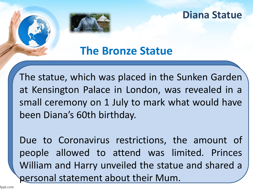

## **The Bronze Statue**

The statue, which was placed in the Sunken Garden at Kensington Palace in London, was revealed in a small ceremony on 1 July to mark what would have been Diana's 60th birthday.

Due to Coronavirus restrictions, the amount of people allowed to attend was limited. Princes William and Harry unveiled the statue and shared a personal statement about their Mum.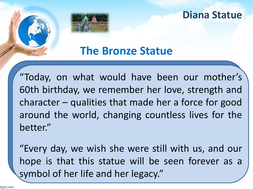## **The Bronze Statue**

"Today, on what would have been our mother's 60th birthday, we remember her love, strength and character – qualities that made her a force for good around the world, changing countless lives for the better."

"Every day, we wish she were still with us, and our hope is that this statue will be seen forever as a symbol of her life and her legacy."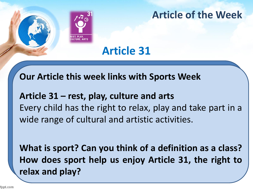

## **Article of the Week**

## **Article 31**

#### **Our Article this week links with Sports Week**

## **Article 31 – rest, play, culture and arts** Every child has the right to relax, play and take part in a wide range of cultural and artistic activities.

**What is sport? Can you think of a definition as a class? How does sport help us enjoy Article 31, the right to relax and play?**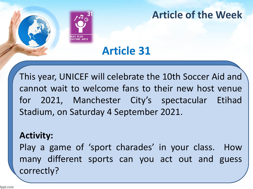

## **Article of the Week**

## **Article 31**

This year, UNICEF will celebrate the 10th Soccer Aid and cannot wait to welcome fans to their new host venue for 2021, Manchester City's spectacular Etihad Stadium, on Saturday 4 September 2021.

#### **Activity:**

Play a game of 'sport charades' in your class. How many different sports can you act out and guess correctly?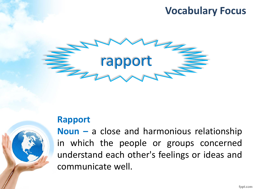## **Vocabulary Focus**



#### **Rapport**



**Noun –** a close and harmonious relationship in which the people or groups concerned understand each other's feelings or ideas and communicate well.